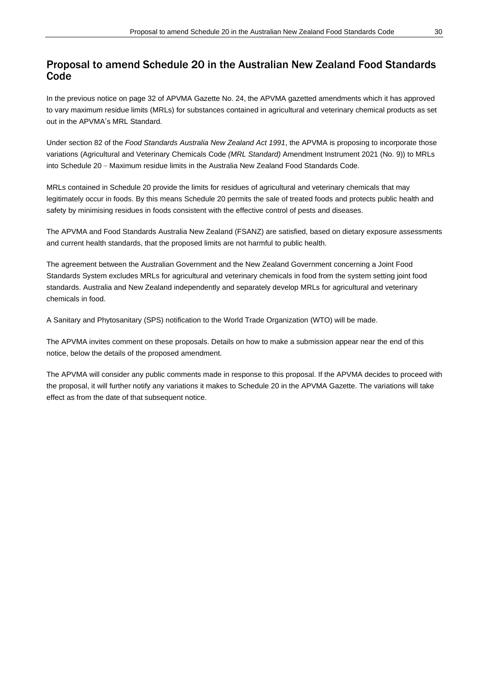# Proposal to amend Schedule 20 in the Australian New Zealand Food Standards Code

In the previous notice on page 32 of APVMA Gazette No. 24, the APVMA gazetted amendments which it has approved to vary maximum residue limits (MRLs) for substances contained in agricultural and veterinary chemical products as set out in the APVMA's MRL Standard*.*

Under section 82 of the *Food Standards Australia New Zealand Act 1991*, the APVMA is proposing to incorporate those variations (Agricultural and Veterinary Chemicals Code *(MRL Standard)* Amendment Instrument 2021 (No. 9)) to MRLs into Schedule 20 – Maximum residue limits in the Australia New Zealand Food Standards Code.

MRLs contained in Schedule 20 provide the limits for residues of agricultural and veterinary chemicals that may legitimately occur in foods. By this means Schedule 20 permits the sale of treated foods and protects public health and safety by minimising residues in foods consistent with the effective control of pests and diseases.

The APVMA and Food Standards Australia New Zealand (FSANZ) are satisfied, based on dietary exposure assessments and current health standards, that the proposed limits are not harmful to public health.

The agreement between the Australian Government and the New Zealand Government concerning a Joint Food Standards System excludes MRLs for agricultural and veterinary chemicals in food from the system setting joint food standards. Australia and New Zealand independently and separately develop MRLs for agricultural and veterinary chemicals in food.

A Sanitary and Phytosanitary (SPS) notification to the World Trade Organization (WTO) will be made.

The APVMA invites comment on these proposals. Details on how to make a submission appear near the end of this notice, below the details of the proposed amendment.

The APVMA will consider any public comments made in response to this proposal. If the APVMA decides to proceed with the proposal, it will further notify any variations it makes to Schedule 20 in the APVMA Gazette. The variations will take effect as from the date of that subsequent notice.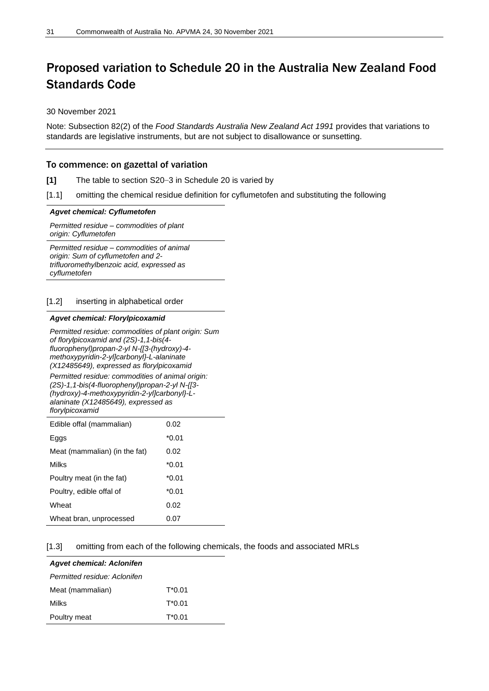# Proposed variation to Schedule 20 in the Australia New Zealand Food Standards Code

#### 30 November 2021

Note: Subsection 82(2) of the *Food Standards Australia New Zealand Act 1991* provides that variations to standards are legislative instruments, but are not subject to disallowance or sunsetting.

# To commence: on gazettal of variation

- **[1]** The table to section S20–3 in Schedule 20 is varied by
- [1.1] omitting the chemical residue definition for cyflumetofen and substituting the following

#### *Agvet chemical: Cyflumetofen*

*Permitted residue – commodities of plant origin: Cyflumetofen*

*Permitted residue – commodities of animal origin: Sum of cyflumetofen and 2 trifluoromethylbenzoic acid, expressed as cyflumetofen*

#### [1.2] inserting in alphabetical order

## *Agvet chemical: Florylpicoxamid*

*Permitted residue: commodities of plant origin: Sum of florylpicoxamid and (2S)-1,1-bis(4 fluorophenyl)propan-2-yl N-{[3-(hydroxy)-4 methoxypyridin-2-yl]carbonyl}-L-alaninate (X12485649), expressed as florylpicoxamid*

*Permitted residue: commodities of animal origin: (2S)-1,1-bis(4-fluorophenyl)propan-2-yl N-{[3- (hydroxy)-4-methoxypyridin-2-yl]carbonyl}-Lalaninate (X12485649), expressed as florylpicoxamid*

| Edible offal (mammalian)      | 0.02  |
|-------------------------------|-------|
| Eggs                          | *0.01 |
| Meat (mammalian) (in the fat) | 0.02  |
| Milks                         | *0.01 |
| Poultry meat (in the fat)     | *0.01 |
| Poultry, edible offal of      | *0.01 |
| Wheat                         | 0.02  |
| Wheat bran, unprocessed       | 0.07  |

#### [1.3] omitting from each of the following chemicals, the foods and associated MRLs

| <b>Agvet chemical: Aclonifen</b> |           |
|----------------------------------|-----------|
| Permitted residue: Aclonifen     |           |
| Meat (mammalian)                 | T*0.01    |
| <b>Milks</b>                     | $T^*0.01$ |
| Poultry meat                     | T*0.01    |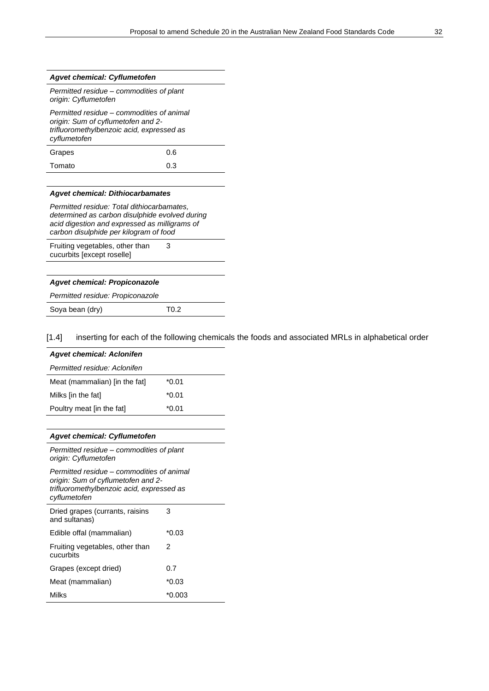#### *Agvet chemical: Cyflumetofen*

*Permitted residue* – *commodities of plant origin: Cyflumetofen*

*Permitted residue* – *commodities of animal origin: Sum of cyflumetofen and 2 trifluoromethylbenzoic acid, expressed as cyflumetofen* Grapes 0.6 Tomato 0.3

#### *Agvet chemical: Dithiocarbamates*

*Permitted residue: Total dithiocarbamates, determined as carbon disulphide evolved during acid digestion and expressed as milligrams of carbon disulphide per kilogram of food*

Fruiting vegetables, other than cucurbits [except roselle]

| <b>Agvet chemical: Propiconazole</b> |                  |
|--------------------------------------|------------------|
| Permitted residue: Propiconazole     |                  |
| Soya bean (dry)                      | T <sub>0.2</sub> |

3

[1.4] inserting for each of the following chemicals the foods and associated MRLs in alphabetical order

| <b>Agvet chemical: Aclonifen</b> |         |  |
|----------------------------------|---------|--|
| Permitted residue: Aclonifen     |         |  |
| Meat (mammalian) [in the fat]    | $*0.01$ |  |
| Milks [in the fat]               | $*0.01$ |  |
| Poultry meat [in the fat]        | $*0.01$ |  |

#### *Agvet chemical: Cyflumetofen*

*Permitted residue* – *commodities of plant origin: Cyflumetofen*

*Permitted residue* – *commodities of animal origin: Sum of cyflumetofen and 2 trifluoromethylbenzoic acid, expressed as cyflumetofen* Dried grapes (currants, raisins and sultanas) 3

| Edible offal (mammalian)                     | $*0.03$  |
|----------------------------------------------|----------|
| Fruiting vegetables, other than<br>cucurbits | 2        |
| Grapes (except dried)                        | 0.7      |
| Meat (mammalian)                             | $*0.03$  |
| Milks                                        | $*0.003$ |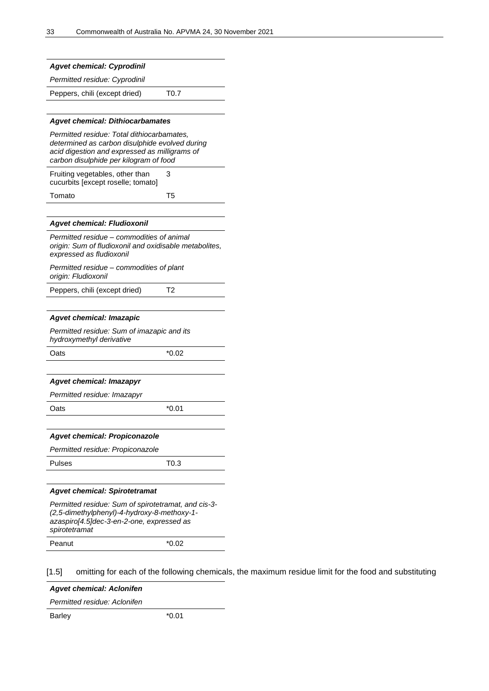| <b>Agvet chemical: Cyprodinil</b>                                                                                                                                                       |         |
|-----------------------------------------------------------------------------------------------------------------------------------------------------------------------------------------|---------|
| Permitted residue: Cyprodinil                                                                                                                                                           |         |
| Peppers, chili (except dried)                                                                                                                                                           | T0.7    |
|                                                                                                                                                                                         |         |
| <b>Agvet chemical: Dithiocarbamates</b>                                                                                                                                                 |         |
| Permitted residue: Total dithiocarbamates,<br>determined as carbon disulphide evolved during<br>acid digestion and expressed as milligrams of<br>carbon disulphide per kilogram of food |         |
| Fruiting vegetables, other than<br>cucurbits [except roselle; tomato]                                                                                                                   | З       |
| Tomato                                                                                                                                                                                  | T5      |
|                                                                                                                                                                                         |         |
| <b>Agvet chemical: Fludioxonil</b>                                                                                                                                                      |         |
| Permitted residue – commodities of animal<br>origin: Sum of fludioxonil and oxidisable metabolites,<br>expressed as fludioxonil                                                         |         |
| Permitted residue – commodities of plant<br>origin: Fludioxonil                                                                                                                         |         |
| Peppers, chili (except dried)                                                                                                                                                           | Т2      |
|                                                                                                                                                                                         |         |
| <b>Agvet chemical: Imazapic</b>                                                                                                                                                         |         |
| Permitted residue: Sum of imazapic and its<br>hydroxymethyl derivative                                                                                                                  |         |
| Oats                                                                                                                                                                                    | *0.02   |
|                                                                                                                                                                                         |         |
| <b>Agvet chemical: Imazapyr</b>                                                                                                                                                         |         |
| Permitted residue: Imazapyr                                                                                                                                                             | $*0.01$ |
| Oats                                                                                                                                                                                    |         |
| <b>Agvet chemical: Propiconazole</b>                                                                                                                                                    |         |
| Permitted residue: Propiconazole                                                                                                                                                        |         |
| <b>Pulses</b>                                                                                                                                                                           | T0.3    |
|                                                                                                                                                                                         |         |
| <b>Agvet chemical: Spirotetramat</b>                                                                                                                                                    |         |
| Permitted residue: Sum of spirotetramat, and cis-3-<br>(2,5-dimethylphenyl)-4-hydroxy-8-methoxy-1-<br>azaspiro[4.5]dec-3-en-2-one, expressed as<br>spirotetramat                        |         |
| Peanut                                                                                                                                                                                  | *0.02   |

[1.5] omitting for each of the following chemicals, the maximum residue limit for the food and substituting

*Agvet chemical: Aclonifen*

*Permitted residue: Aclonifen*

Barley **\*0.01**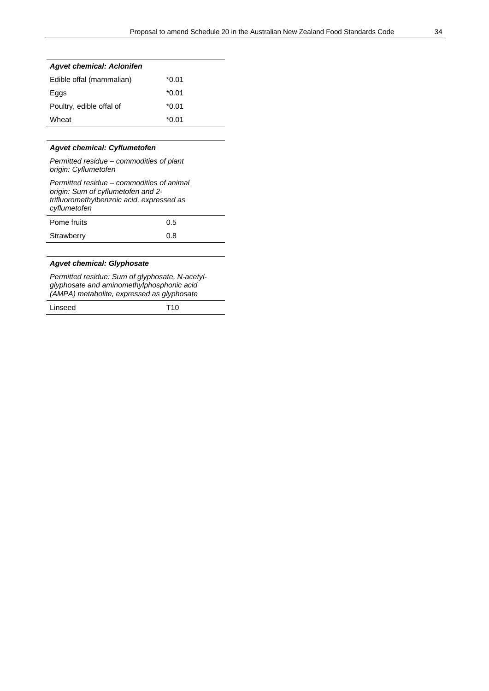| <b>Agvet chemical: Aclonifen</b> |         |  |
|----------------------------------|---------|--|
| Edible offal (mammalian)         | *0.01   |  |
| Eggs                             | *0.01   |  |
| Poultry, edible offal of         | $*0.01$ |  |
| Wheat                            | *0.01   |  |

## *Agvet chemical: Cyflumetofen*

*Permitted residue* – *commodities of plant origin: Cyflumetofen*

| Permitted residue – commodities of animal<br>origin: Sum of cyflumetofen and 2-<br>trifluoromethylbenzoic acid, expressed as<br>cyflumetofen |     |
|----------------------------------------------------------------------------------------------------------------------------------------------|-----|
| Pome fruits                                                                                                                                  | 0.5 |
| Strawberry                                                                                                                                   | 0 8 |

# *Agvet chemical: Glyphosate*

*Permitted residue: Sum of glyphosate, N-acetylglyphosate and aminomethylphosphonic acid (AMPA) metabolite, expressed as glyphosate*

| Linseed | T10 |
|---------|-----|
|---------|-----|